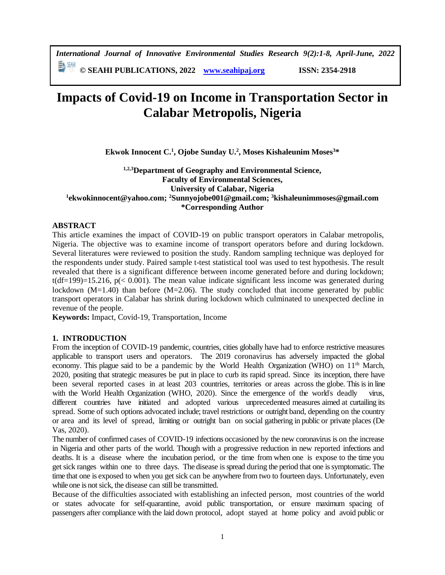*International Journal of Innovative Environmental Studies Research 9(2):1-8, April-June, 2022*

**© SEAHI PUBLICATIONS, 2022 [www.seahipaj.org](http://www.seahipaj.org/) ISSN: 2354-2918**

# **Impacts of Covid-19 on Income in Transportation Sector in Calabar Metropolis, Nigeria**

**Ekwok Innocent C. 1 , Ojobe Sunday U. 2 , Moses Kishaleunim Moses<sup>3</sup>\***

## **1,2,3Department of Geography and Environmental Science, Faculty of Environmental Sciences, University of Calabar, Nigeria 1 ekwokinnocent@yahoo.com; <sup>2</sup>Sunnyojobe001@gmail.com; <sup>3</sup>kishaleunimmoses@gmail.com \*Corresponding Author**

## **ABSTRACT**

This article examines the impact of COVID-19 on public transport operators in Calabar metropolis, Nigeria. The objective was to examine income of transport operators before and during lockdown. Several literatures were reviewed to position the study. Random sampling technique was deployed for the respondents under study. Paired sample t-test statistical tool was used to test hypothesis. The result revealed that there is a significant difference between income generated before and during lockdown;  $t(df=199)=15.216$ ,  $p( $0.001$ ). The mean value indicate significant less income was generated during$ lockdown  $(M=1.40)$  than before  $(M=2.06)$ . The study concluded that income generated by public transport operators in Calabar has shrink during lockdown which culminated to unexpected decline in revenue of the people.

**Keywords:** Impact, Covid-19, Transportation, Income

## **1. INTRODUCTION**

From the inception of COVID-19 pandemic, countries, cities globally have had to enforce restrictive measures applicable to transport users and operators. The 2019 coronavirus has adversely impacted the global economy. This plague said to be a pandemic by the World Health Organization (WHO) on 11<sup>th</sup> March, 2020, positing that strategic measures be put in place to curb its rapid spread. Since its inception, there have been several reported cases in at least 203 countries, territories or areas across the globe. This is in line with the World Health Organization (WHO, 2020). Since the emergence of the world's deadly different countries have initiated and adopted various unprecedented measures aimed at curtailing its spread. Some of such options advocated include; travel restrictions or outright band, depending on the country or area and its level of spread, limiting or outright ban on social gathering in public or private places (De Vas, 2020).

The number of confirmed cases of COVID-19 infections occasioned by the new coronavirus is on the increase in Nigeria and other parts of the world. Though with a progressive reduction in new reported infections and deaths. It is a disease where the incubation period, or the time from when one is expose to the time you get sick ranges within one to three days. The disease is spread during the period that one is symptomatic. The time that one is exposed to when you get sick can be anywhere from two to fourteen days. Unfortunately, even while one is not sick, the disease can still be transmitted.

Because of the difficulties associated with establishing an infected person, most countries of the world or states advocate for self-quarantine, avoid public transportation, or ensure maximum spacing of passengers after compliance with the laid down protocol, adopt stayed at home policy and avoid public or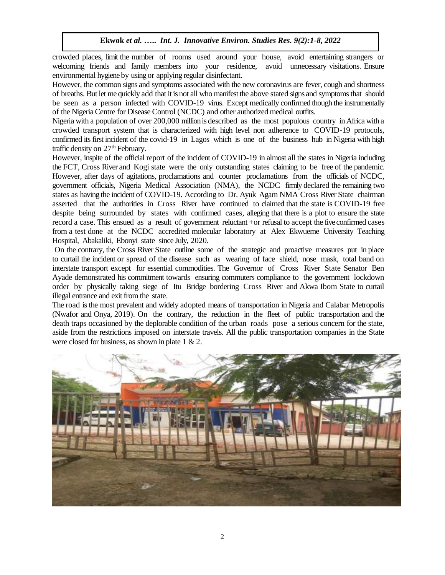crowded places, limit the number of rooms used around your house, avoid entertaining strangers or welcoming friends and family members into your residence, avoid unnecessary visitations. Ensure environmental hygiene by using or applying regular disinfectant.

However, the common signs and symptoms associated with the new coronavirus are fever, cough and shortness of breaths. But let me quickly add that it is not all who manifest the above stated signs and symptoms that should be seen as a person infected with COVID-19 virus. Except medically confirmed though the instrumentally of the Nigeria Centre for Disease Control (NCDC) and other authorized medical outfits.

Nigeria with a population of over 200,000 million is described as the most populous country in Africa with a crowded transport system that is characterized with high level non adherence to COVID-19 protocols, confirmed its first incident of the covid-19 in Lagos which is one of the business hub in Nigeria with high traffic density on 27<sup>th</sup> February.

However, inspite of the official report of the incident of COVID-19 in almost all the states in Nigeria including the FCT, Cross River and Kogi state were the only outstanding states claiming to be free of the pandemic. However, after days of agitations, proclamations and counter proclamations from the officials of NCDC, government officials, Nigeria Medical Association (NMA), the NCDC firmly declared the remaining two states as having the incident of COVID-19. According to Dr. Ayuk Agam NMA Cross River State chairman asserted that the authorities in Cross River have continued to claimed that the state is COVID-19 free despite being surrounded by states with confirmed cases, alleging that there is a plot to ensure the state record a case. This ensued as a result of government reluctant +or refusal to accept the five confirmed cases from a test done at the NCDC accredited molecular laboratory at Alex Ekwueme University Teaching Hospital, Abakaliki, Ebonyi state since July, 2020.

On the contrary, the Cross River State outline some of the strategic and proactive measures put in place to curtail the incident or spread of the disease such as wearing of face shield, nose mask, total band on interstate transport except for essential commodities. The Governor of Cross River State Senator Ben Ayade demonstrated his commitment towards ensuring commuters compliance to the government lockdown order by physically taking siege of Itu Bridge bordering Cross River and Akwa Ibom State to curtail illegal entrance and exit from the state.

The road is the most prevalent and widely adopted means of transportation in Nigeria and Calabar Metropolis (Nwafor and Onya, 2019). On the contrary, the reduction in the fleet of public transportation and the death traps occasioned by the deplorable condition of the urban roads pose a serious concern for the state, aside from the restrictions imposed on interstate travels. All the public transportation companies in the State were closed for business, as shown in plate 1 & 2.

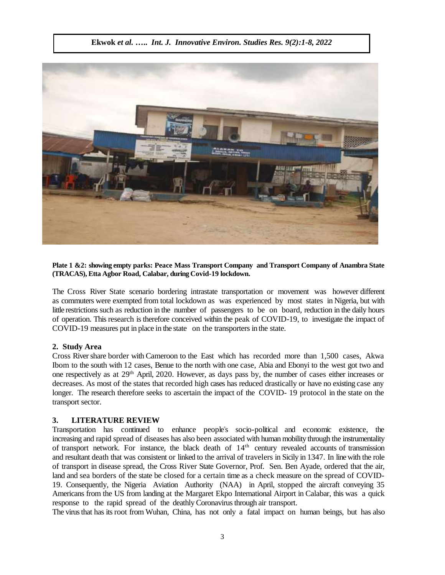

**Plate 1 &2: showing empty parks: Peace Mass Transport Company and Transport Company of Anambra State (TRACAS), Etta Agbor Road, Calabar, during Covid-19 lockdown.**

The Cross River State scenario bordering intrastate transportation or movement was however different as commuters were exempted from total lockdown as was experienced by most states in Nigeria, but with little restrictions such as reduction in the number of passengers to be on board, reduction in the daily hours of operation. This research is therefore conceived within the peak of COVID-19, to investigate the impact of COVID-19 measures put in place in the state on the transporters in the state.

#### **2. Study Area**

Cross River share border with Cameroon to the East which has recorded more than 1,500 cases, Akwa Ibom to the south with 12 cases, Benue to the north with one case, Abia and Ebonyi to the west got two and one respectively as at 29th April, 2020. However, as days pass by, the number of cases either increases or decreases. As most of the states that recorded high cases has reduced drastically or have no existing case any longer. The research therefore seeks to ascertain the impact of the COVID- 19 protocol in the state on the transport sector.

#### **3. LITERATURE REVIEW**

Transportation has continued to enhance people"s socio-political and economic existence, the increasing and rapid spread of diseases has also been associated with human mobility through the instrumentality of transport network. For instance, the black death of 14th century revealed accounts of transmission and resultant death that was consistent or linked to the arrival of travelers in Sicily in 1347. In line with the role of transport in disease spread, the Cross River State Governor, Prof. Sen. Ben Ayade, ordered that the air, land and sea borders of the state be closed for a certain time as a check measure on the spread of COVID-19. Consequently, the Nigeria Aviation Authority (NAA) in April, stopped the aircraft conveying 35 Americans from the US from landing at the Margaret Ekpo International Airport in Calabar, this was a quick response to the rapid spread of the deathly Coronavirus through air transport.

The virus that has its root from Wuhan, China, has not only a fatal impact on human beings, but has also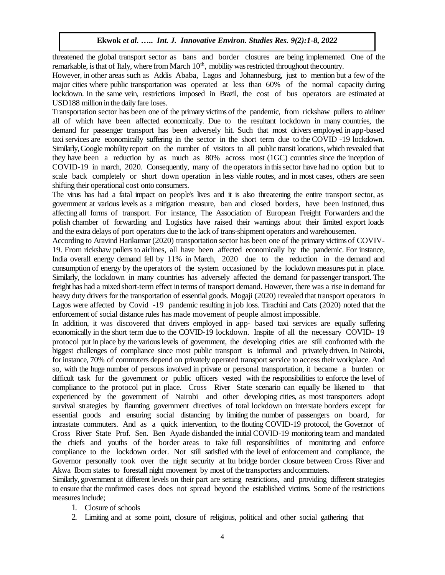threatened the global transport sector as bans and border closures are being implemented. One of the remarkable, is that of Italy, where from March  $10<sup>th</sup>$ , mobility was restricted throughout the country.

However, in other areas such as Addis Ababa, Lagos and Johannesburg, just to mention but a few of the major cities where public transportation was operated at less than 60% of the normal capacity during lockdown. In the same vein, restrictions imposed in Brazil, the cost of bus operators are estimated at USD188 million in the daily fare loses.

Transportation sector has been one of the primary victims of the pandemic, from rickshaw pullers to airliner all of which have been affected economically. Due to the resultant lockdown in many countries, the demand for passenger transport has been adversely hit. Such that most drivers employed in app-based taxi services are economically suffering in the sector in the short term due to the COVID -19 lockdown. Similarly, Google mobility report on the number of visitors to all public transit locations, which revealed that they have been a reduction by as much as 80% across most (1GC) countries since the inception of COVID-19 in march, 2020. Consequently, many of the operators in this sector have had no option but to scale back completely or short down operation in less viable routes, and in most cases, others are seen shifting their operational cost onto consumers.

The virus has had a fatal impact on people's lives and it is also threatening the entire transport sector, as government at various levels as a mitigation measure, ban and closed borders, have been instituted, thus affecting all forms of transport. For instance, The Association of European Freight Forwarders and the polish chamber of forwarding and Logistics have raised their warnings about their limited export loads and the extra delays of port operators due to the lack of trans-shipment operators and warehousemen.

According to Aravind Harikumar (2020) transportation sector has been one of the primary victims of COVIV-19. From rickshaw pullers to airlines, all have been affected economically by the pandemic. For instance, India overall energy demand fell by 11% in March, 2020 due to the reduction in the demand and consumption of energy by the operators of the system occasioned by the lockdown measures put in place. Similarly, the lockdown in many countries has adversely affected the demand for passenger transport. The freight has had a mixed short-term effect in terms of transport demand. However, there was a rise in demand for heavy duty drivers for the transportation of essential goods. Mogaji (2020) revealed that transport operators in Lagos were affected by Covid -19 pandemic resulting in job loss. Tirachini and Cats (2020) noted that the enforcement of social distance rules has made movement of people almost impossible.

In addition, it was discovered that drivers employed in app- based taxi services are equally suffering economically in the short term due to the COVID-19 lockdown. Inspite of all the necessary COVID- 19 protocol put in place by the various levels of government, the developing cities are still confronted with the biggest challenges of compliance since most public transport is informal and privately driven. In Nairobi, for instance, 70% of commuters depend on privately operated transport service to access their workplace. And so, with the huge number of persons involved in private or personal transportation, it became a burden or difficult task for the government or public officers vested with the responsibilities to enforce the level of compliance to the protocol put in place. Cross River State scenario can equally be likened to that experienced by the government of Nairobi and other developing cities, as most transporters adopt survival strategies by flaunting government directives of total lockdown on interstate borders except for essential goods and ensuring social distancing by limiting the number of passengers on board, for intrastate commuters. And as a quick intervention, to the flouting COVID-19 protocol, the Governor of Cross River State Prof. Sen. Ben Ayade disbanded the initial COVID-19 monitoring team and mandated the chiefs and youths of the border areas to take full responsibilities of monitoring and enforce compliance to the lockdown order. Not still satisfied with the level of enforcement and compliance, the Governor personally took over the night security at Itu bridge border closure between Cross River and Akwa Ibom states to forestall night movement by most of the transporters andcommuters.

Similarly, government at different levels on their part are setting restrictions, and providing different strategies to ensure that the confirmed cases does not spread beyond the established victims. Some of the restrictions measures include;

- 1. Closure of schools
- 2. Limiting and at some point, closure of religious, political and other social gathering that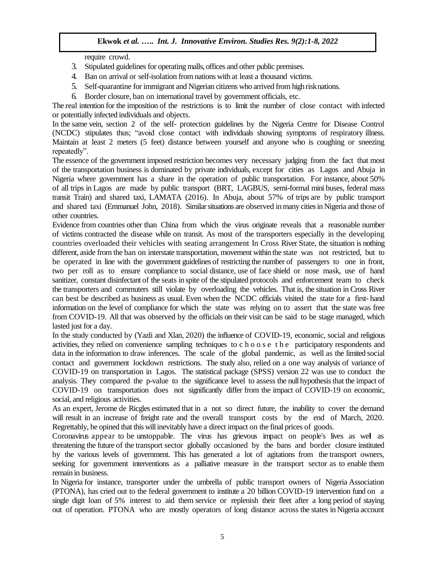require crowd.

- 3. Stipulated guidelines for operating malls, offices and other public premises.
- 4. Ban on arrival or self-isolation from nations with at least a thousand victims.
- 5. Self-quarantine for immigrant and Nigerian citizens who arrived from high risknations.
- 6. Border closure, ban on international travel by government officials, etc.

The real intention for the imposition of the restrictions is to limit the number of close contact with infected or potentially infected individuals and objects.

In the same vein, section 2 of the self- protection guidelines by the Nigeria Centre for Disease Control (NCDC) stipulates thus; "avoid close contact with individuals showing symptoms of respiratory illness. Maintain at least 2 meters (5 feet) distance between yourself and anyone who is coughing or sneezing repeatedly".

The essence of the government imposed restriction becomes very necessary judging from the fact that most of the transportation business is dominated by private individuals, except for cities as Lagos and Abuja in Nigeria where government has a share in the operation of public transportation. For instance, about 50% of all trips in Lagos are made by public transport (BRT, LAGBUS, semi-formal mini buses, federal mass transit Train) and shared taxi, LAMATA (2016). In Abuja, about 57% of trips are by public transport and shared taxi (Emmanuel John, 2018). Similar situations are observed in many cities in Nigeria and those of other countries.

Evidence from countries other than China from which the virus originate reveals that a reasonable number of victims contracted the disease while on transit. As most of the transporters especially in the developing countries overloaded their vehicles with seating arrangement In Cross River State, the situation is nothing different, aside from the ban on interstate transportation, movement within the state was not restricted, but to be operated in line with the government guidelines of restricting the number of passengers to one in front, two per roll as to ensure compliance to social distance, use of face shield or nose mask, use of hand sanitizer, constant disinfectant of the seats in spite of the stipulated protocols and enforcement team to check the transporters and commuters still violate by overloading the vehicles. That is, the situation in Cross River can best be described as business as usual. Even when the NCDC officials visited the state for a first- hand information on the level of compliance for which the state was relying on to assert that the state was free from COVID-19. All that was observed by the officials on their visit can be said to be stage managed, which lasted just for a day.

In the study conducted by (Yazli and Xlan, 2020) the influence of COVID-19, economic, social and religious activities, they relied on convenience sampling techniques to c h o o s e t h e participatory respondents and data in the information to draw inferences. The scale of the global pandemic, as well as the limited social contact and government lockdown restrictions. The study also, relied on a one way analysis of variance of COVID-19 on transportation in Lagos. The statistical package (SPSS) version 22 was use to conduct the analysis. They compared the p-value to the significance level to assess the null hypothesis that the impact of COVID-19 on transportation does not significantly differ from the impact of COVID-19 on economic, social, and religious activities.

As an expert, Jerome de Ricgles estimated that in a not so direct future, the inability to cover the demand will result in an increase of freight rate and the overall transport costs by the end of March, 2020. Regrettably, he opined that this will inevitably have a direct impact on the final prices of goods.

Coronavirus appear to be unstoppable. The virus has grievous impact on people"s lives as we**l** as threatening the future of the transport sector globally occasioned by the bans and border closure instituted by the various levels of government. This has generated a lot of agitations from the transport owners, seeking for government interventions as a palliative measure in the transport sector as to enable them remain in business.

In Nigeria for instance, transporter under the umbrella of public transport owners of Nigeria Association (PTONA), has cried out to the federal government to institute a 20 billion COVID-19 intervention fund on a single digit loan of 5% interest to aid them service or replenish their fleet after a long period of staying out of operation. PTONA who are mostly operators of long distance across the states in Nigeria account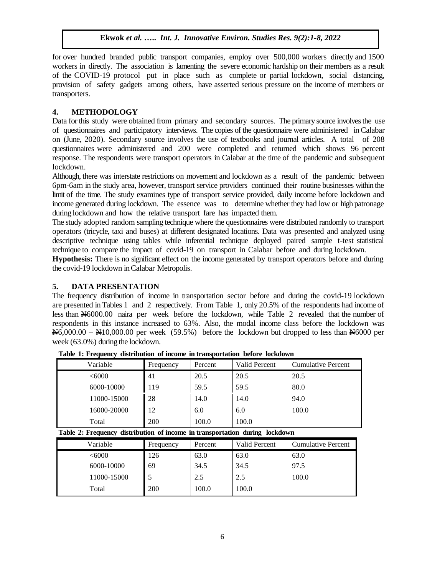for over hundred branded public transport companies, employ over 500,000 workers directly and 1500 workers in directly. The association is lamenting the severe economic hardship on their members as a result of the COVID-19 protocol put in place such as complete or partial lockdown, social distancing, provision of safety gadgets among others, have asserted serious pressure on the income of members or transporters.

# **4. METHODOLOGY**

Data for this study were obtained from primary and secondary sources. The primary source involves the use of questionnaires and participatory interviews. The copies of the questionnaire were administered in Calabar on (June, 2020). Secondary source involves the use of textbooks and journal articles. A total of 208 questionnaires were administered and 200 were completed and returned which shows 96 percent response. The respondents were transport operators in Calabar at the time of the pandemic and subsequent lockdown.

Although, there was interstate restrictions on movement and lockdown as a result of the pandemic between 6pm-6am in the study area, however, transport service providers continued their routine businesses within the limit of the time. The study examines type of transport service provided, daily income before lockdown and income generated during lockdown. The essence was to determine whether they had low or high patronage during lockdown and how the relative transport fare has impacted them.

The study adopted random sampling technique where the questionnaires were distributed randomly to transport operators (tricycle, taxi and buses) at different designated locations. Data was presented and analyzed using descriptive technique using tables while inferential technique deployed paired sample t-test statistical technique to compare the impact of covid-19 on transport in Calabar before and during lockdown.

**Hypothesis:** There is no significant effect on the income generated by transport operators before and during the covid-19 lockdown in Calabar Metropolis.

## **5. DATA PRESENTATION**

The frequency distribution of income in transportation sector before and during the covid-19 lockdown are presented in Tables 1 and 2 respectively. From Table 1, only 20.5% of the respondents had income of less than N6000.00 naira per week before the lockdown, while Table 2 revealed that the number of respondents in this instance increased to 63%. Also, the modal income class before the lockdown was  $\frac{\text{N6,000.00 - N10,000.00}}{\text{N}}$  per week (59.5%) before the lockdown but dropped to less than  $\frac{\text{N6000}}{\text{N}}$  per week (63.0%) during the lockdown.

| Variable    | Frequency | Percent | Valid Percent | Cumulative Percent |  |
|-------------|-----------|---------|---------------|--------------------|--|
| <6000       | 41        | 20.5    | 20.5          | 20.5               |  |
| 6000-10000  | 119       | 59.5    | 59.5          | 80.0               |  |
| 11000-15000 | 28        | 14.0    | 14.0          | 94.0               |  |
| 16000-20000 | 12        | 6.0     | 6.0           | 100.0              |  |
| Total       | 200       | 100.0   | 100.0         |                    |  |

**Table 1: Frequency distribution of income in transportation before lockdown**

**Table 2: Frequency distribution of income in transportation during lockdown**

| Variable    | Frequency | Percent | <b>Valid Percent</b> | <b>Cumulative Percent</b> |
|-------------|-----------|---------|----------------------|---------------------------|
| < 6000      | 126       | 63.0    | 63.0                 | 63.0                      |
| 6000-10000  | 69        | 34.5    | 34.5                 | 97.5                      |
| 11000-15000 |           | 2.5     | 2.5                  | 100.0                     |
| Total       | 200       | 100.0   | 100.0                |                           |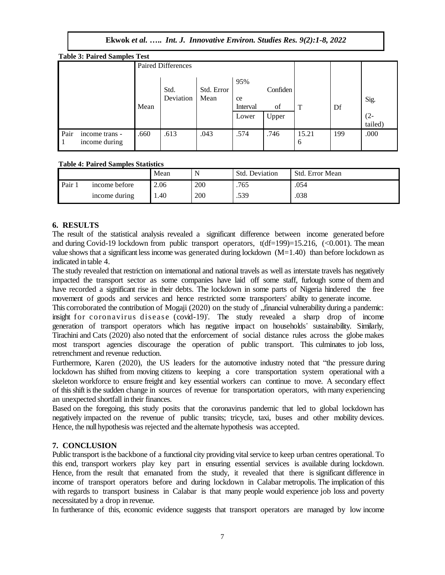| <b>Table 3: Paired Samples Test</b> |                                 |                           |                   |                    |                                |                         |            |     |                           |
|-------------------------------------|---------------------------------|---------------------------|-------------------|--------------------|--------------------------------|-------------------------|------------|-----|---------------------------|
|                                     |                                 | <b>Paired Differences</b> |                   |                    |                                |                         |            |     |                           |
|                                     |                                 | Mean                      | Std.<br>Deviation | Std. Error<br>Mean | 95%<br>ce<br>Interval<br>Lower | Confiden<br>of<br>Upper | Т          | Df  | Sig.<br>$(2 -$<br>tailed) |
| Pair<br>$^{\circ}$ 1                | income trans -<br>income during | .660                      | .613              | .043               | .574                           | .746                    | 15.21<br>6 | 199 | .000                      |

#### **Table 4: Paired Samples Statistics**

|      |               | Mean |     | Std. Deviation | Std. Error Mean |
|------|---------------|------|-----|----------------|-----------------|
| Pair | income before | 2.06 | 200 | .765           | .054            |
|      | income during | .40  | 200 | .539           | .038            |

## **6. RESULTS**

The result of the statistical analysis revealed a significant difference between income generated before and during Covid-19 lockdown from public transport operators,  $t(df=199)=15.216$ ,  $(<0.001$ ). The mean value shows that a significant less income was generated during lockdown  $(M=1.40)$  than before lockdown as indicated in table 4.

The study revealed that restriction on international and national travels as well as interstate travels has negatively impacted the transport sector as some companies have laid off some staff, furlough some of them and have recorded a significant rise in their debts. The lockdown in some parts of Nigeria hindered the free movement of goods and services and hence restricted some transporters" ability to generate income.

This corroborated the contribution of Mogaji (2020) on the study of "financial vulnerability during a pandemic: insight for coronavirus disease (covid-19)". The study revealed a sharp drop of income generation of transport operators which has negative impact on households" sustainability. Similarly, Tirachini and Cats (2020) also noted that the enforcement of social distance rules across the globe makes most transport agencies discourage the operation of public transport. This culminates to job loss, retrenchment and revenue reduction.

Furthermore, Karen (2020), the US leaders for the automotive industry noted that "the pressure during lockdown has shifted from moving citizens to keeping a core transportation system operational with a skeleton workforce to ensure freight and key essential workers can continue to move. A secondary effect of this shift is the sudden change in sources of revenue for transportation operators, with many experiencing an unexpected shortfall in their finances.

Based on the foregoing, this study posits that the coronavirus pandemic that led to global lockdown has negatively impacted on the revenue of public transits; tricycle, taxi, buses and other mobility devices. Hence, the null hypothesis was rejected and the alternate hypothesis was accepted.

# **7. CONCLUSION**

Public transport is the backbone of a functional city providing vital service to keep urban centres operational. To this end, transport workers play key part in ensuring essential services is available during lockdown. Hence, from the result that emanated from the study, it revealed that there is significant difference in income of transport operators before and during lockdown in Calabar metropolis. The implication of this with regards to transport business in Calabar is that many people would experience job loss and poverty necessitated by a drop in revenue.

In furtherance of this, economic evidence suggests that transport operators are managed by low income